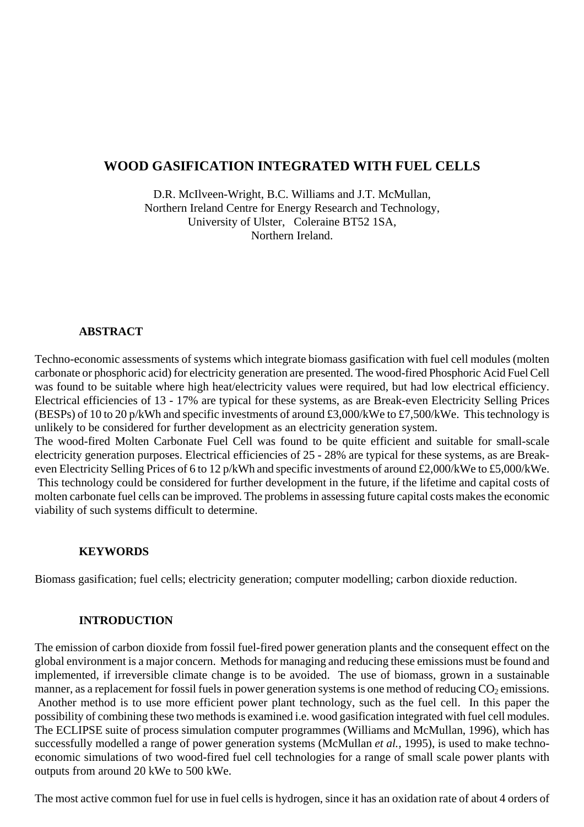# **WOOD GASIFICATION INTEGRATED WITH FUEL CELLS**

D.R. McIlveen-Wright, B.C. Williams and J.T. McMullan, Northern Ireland Centre for Energy Research and Technology, University of Ulster, Coleraine BT52 1SA, Northern Ireland.

### **ABSTRACT**

Techno-economic assessments of systems which integrate biomass gasification with fuel cell modules (molten carbonate or phosphoric acid) for electricity generation are presented. The wood-fired Phosphoric Acid Fuel Cell was found to be suitable where high heat/electricity values were required, but had low electrical efficiency. Electrical efficiencies of 13 - 17% are typical for these systems, as are Break-even Electricity Selling Prices (BESPs) of 10 to 20 p/kWh and specific investments of around £3,000/kWe to £7,500/kWe. This technology is unlikely to be considered for further development as an electricity generation system.

The wood-fired Molten Carbonate Fuel Cell was found to be quite efficient and suitable for small-scale electricity generation purposes. Electrical efficiencies of 25 - 28% are typical for these systems, as are Breakeven Electricity Selling Prices of 6 to 12 p/kWh and specific investments of around £2,000/kWe to £5,000/kWe. This technology could be considered for further development in the future, if the lifetime and capital costs of molten carbonate fuel cells can be improved. The problems in assessing future capital costs makes the economic viability of such systems difficult to determine.

#### **KEYWORDS**

Biomass gasification; fuel cells; electricity generation; computer modelling; carbon dioxide reduction.

### **INTRODUCTION**

The emission of carbon dioxide from fossil fuel-fired power generation plants and the consequent effect on the global environment is a major concern. Methods for managing and reducing these emissions must be found and implemented, if irreversible climate change is to be avoided. The use of biomass, grown in a sustainable manner, as a replacement for fossil fuels in power generation systems is one method of reducing  $CO<sub>2</sub>$  emissions. Another method is to use more efficient power plant technology, such as the fuel cell. In this paper the possibility of combining these two methods is examined i.e. wood gasification integrated with fuel cell modules. The ECLIPSE suite of process simulation computer programmes (Williams and McMullan, 1996), which has successfully modelled a range of power generation systems (McMullan *et al.,* 1995), is used to make technoeconomic simulations of two wood-fired fuel cell technologies for a range of small scale power plants with outputs from around 20 kWe to 500 kWe.

The most active common fuel for use in fuel cells is hydrogen, since it has an oxidation rate of about 4 orders of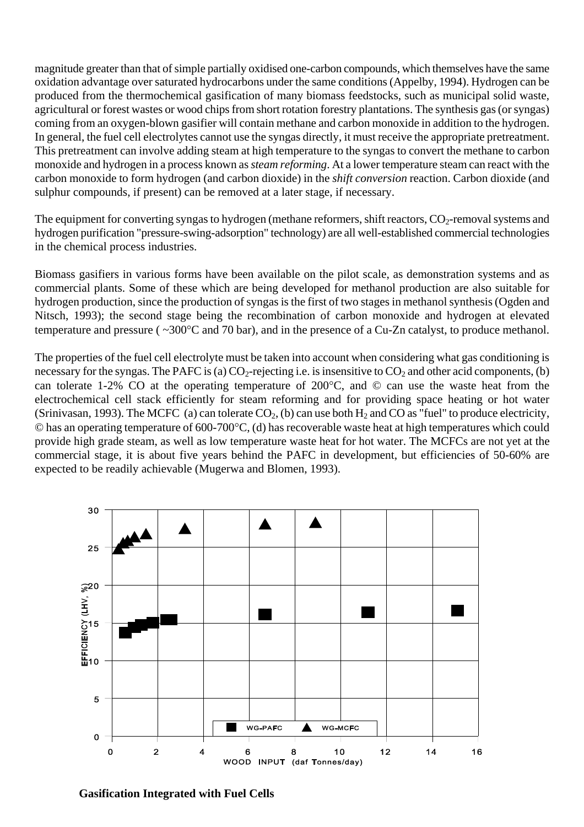magnitude greater than that of simple partially oxidised one-carbon compounds, which themselves have the same oxidation advantage over saturated hydrocarbons under the same conditions (Appelby, 1994). Hydrogen can be produced from the thermochemical gasification of many biomass feedstocks, such as municipal solid waste, agricultural or forest wastes or wood chips from short rotation forestry plantations. The synthesis gas (or syngas) coming from an oxygen-blown gasifier will contain methane and carbon monoxide in addition to the hydrogen. In general, the fuel cell electrolytes cannot use the syngas directly, it must receive the appropriate pretreatment. This pretreatment can involve adding steam at high temperature to the syngas to convert the methane to carbon monoxide and hydrogen in a process known as *steam reforming*. At a lower temperature steam can react with the carbon monoxide to form hydrogen (and carbon dioxide) in the *shift conversion* reaction. Carbon dioxide (and sulphur compounds, if present) can be removed at a later stage, if necessary.

The equipment for converting syngas to hydrogen (methane reformers, shift reactors,  $CO_2$ -removal systems and hydrogen purification "pressure-swing-adsorption" technology) are all well-established commercial technologies in the chemical process industries.

Biomass gasifiers in various forms have been available on the pilot scale, as demonstration systems and as commercial plants. Some of these which are being developed for methanol production are also suitable for hydrogen production, since the production of syngas is the first of two stages in methanol synthesis (Ogden and Nitsch, 1993); the second stage being the recombination of carbon monoxide and hydrogen at elevated temperature and pressure ( ~300°C and 70 bar), and in the presence of a Cu-Zn catalyst, to produce methanol.

The properties of the fuel cell electrolyte must be taken into account when considering what gas conditioning is necessary for the syngas. The PAFC is (a)  $CO_2$ -rejecting i.e. is insensitive to  $CO_2$  and other acid components, (b) can tolerate 1-2% CO at the operating temperature of 200°C, and © can use the waste heat from the electrochemical cell stack efficiently for steam reforming and for providing space heating or hot water (Srinivasan, 1993). The MCFC (a) can tolerate  $CO_2$ , (b) can use both  $H_2$  and CO as "fuel" to produce electricity, © has an operating temperature of 600-700°C, (d) has recoverable waste heat at high temperatures which could provide high grade steam, as well as low temperature waste heat for hot water. The MCFCs are not yet at the commercial stage, it is about five years behind the PAFC in development, but efficiencies of 50-60% are expected to be readily achievable (Mugerwa and Blomen, 1993).



**Gasification Integrated with Fuel Cells**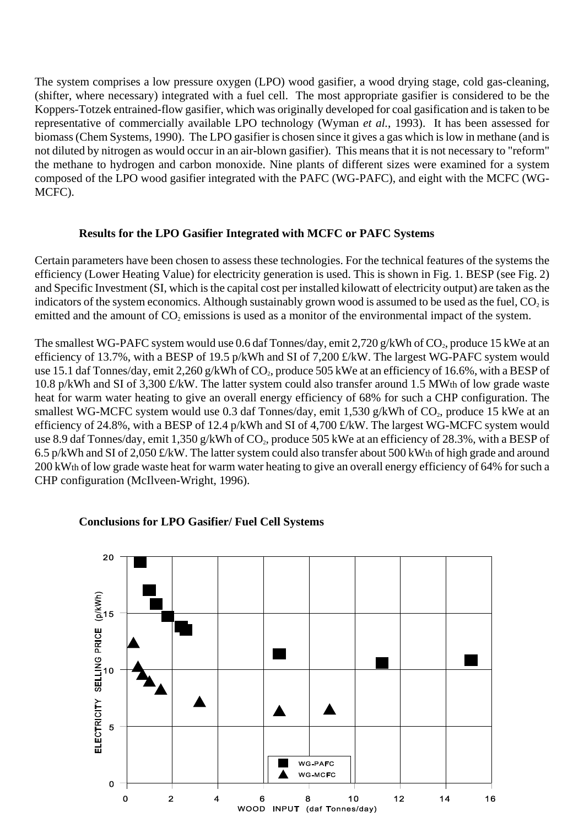The system comprises a low pressure oxygen (LPO) wood gasifier, a wood drying stage, cold gas-cleaning, (shifter, where necessary) integrated with a fuel cell. The most appropriate gasifier is considered to be the Koppers-Totzek entrained-flow gasifier, which was originally developed for coal gasification and is taken to be representative of commercially available LPO technology (Wyman *et al.*, 1993). It has been assessed for biomass (Chem Systems, 1990). The LPO gasifier is chosen since it gives a gas which is low in methane (and is not diluted by nitrogen as would occur in an air-blown gasifier). This means that it is not necessary to "reform" the methane to hydrogen and carbon monoxide. Nine plants of different sizes were examined for a system composed of the LPO wood gasifier integrated with the PAFC (WG-PAFC), and eight with the MCFC (WG-MCFC).

### **Results for the LPO Gasifier Integrated with MCFC or PAFC Systems**

Certain parameters have been chosen to assess these technologies. For the technical features of the systems the efficiency (Lower Heating Value) for electricity generation is used. This is shown in Fig. 1. BESP (see Fig. 2) and Specific Investment (SI, which is the capital cost per installed kilowatt of electricity output) are taken as the indicators of the system economics. Although sustainably grown wood is assumed to be used as the fuel,  $CO_2$  is emitted and the amount of  $CO<sub>2</sub>$  emissions is used as a monitor of the environmental impact of the system.

The smallest WG-PAFC system would use 0.6 daf Tonnes/day, emit 2,720 g/kWh of  $CO_2$ , produce 15 kWe at an efficiency of 13.7%, with a BESP of 19.5 p/kWh and SI of 7,200 £/kW. The largest WG-PAFC system would use 15.1 daf Tonnes/day, emit 2,260 g/kWh of CO<sub>2</sub>, produce 505 kWe at an efficiency of 16.6%, with a BESP of 10.8 p/kWh and SI of 3,300 £/kW. The latter system could also transfer around 1.5 MWth of low grade waste heat for warm water heating to give an overall energy efficiency of 68% for such a CHP configuration. The smallest WG-MCFC system would use 0.3 daf Tonnes/day, emit 1,530 g/kWh of  $CO<sub>2</sub>$ , produce 15 kWe at an efficiency of 24.8%, with a BESP of 12.4 p/kWh and SI of 4,700 £/kW. The largest WG-MCFC system would use 8.9 daf Tonnes/day, emit 1,350 g/kWh of CO<sub>2</sub>, produce 505 kWe at an efficiency of 28.3%, with a BESP of 6.5 p/kWh and SI of 2,050 £/kW. The latter system could also transfer about 500 kWth of high grade and around 200 kWth of low grade waste heat for warm water heating to give an overall energy efficiency of 64% for such a CHP configuration (McIlveen-Wright, 1996).



#### **Conclusions for LPO Gasifier/ Fuel Cell Systems**